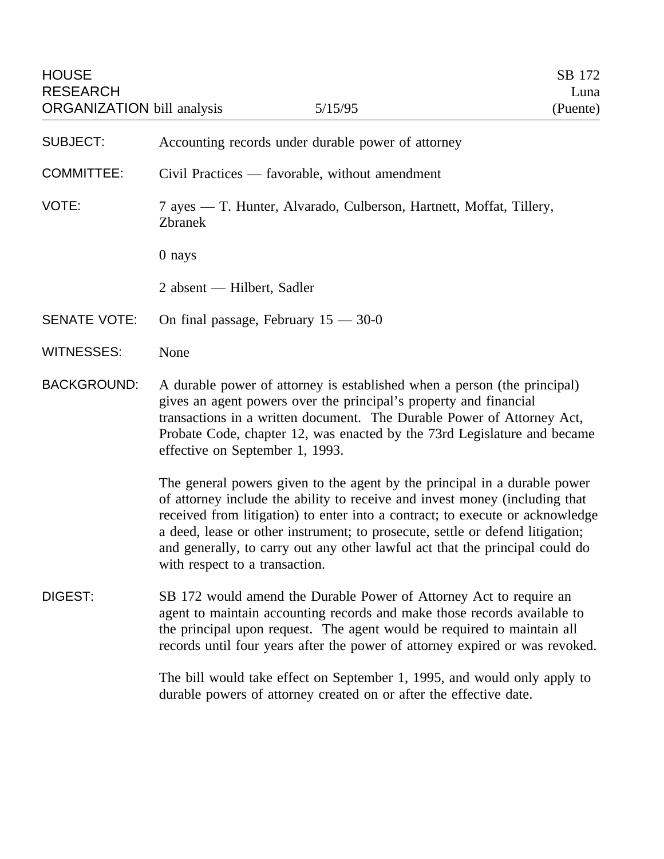- SUBJECT: Accounting records under durable power of attorney
- COMMITTEE: Civil Practices favorable, without amendment
- VOTE: 7 ayes T. Hunter, Alvarado, Culberson, Hartnett, Moffat, Tillery, Zbranek
	- 0 nays

2 absent — Hilbert, Sadler

- SENATE VOTE: On final passage, February 15 30-0
- WITNESSES: None
- BACKGROUND: A durable power of attorney is established when a person (the principal) gives an agent powers over the principal's property and financial transactions in a written document. The Durable Power of Attorney Act, Probate Code, chapter 12, was enacted by the 73rd Legislature and became effective on September 1, 1993.

The general powers given to the agent by the principal in a durable power of attorney include the ability to receive and invest money (including that received from litigation) to enter into a contract; to execute or acknowledge a deed, lease or other instrument; to prosecute, settle or defend litigation; and generally, to carry out any other lawful act that the principal could do with respect to a transaction.

DIGEST: SB 172 would amend the Durable Power of Attorney Act to require an agent to maintain accounting records and make those records available to the principal upon request. The agent would be required to maintain all records until four years after the power of attorney expired or was revoked.

> The bill would take effect on September 1, 1995, and would only apply to durable powers of attorney created on or after the effective date.